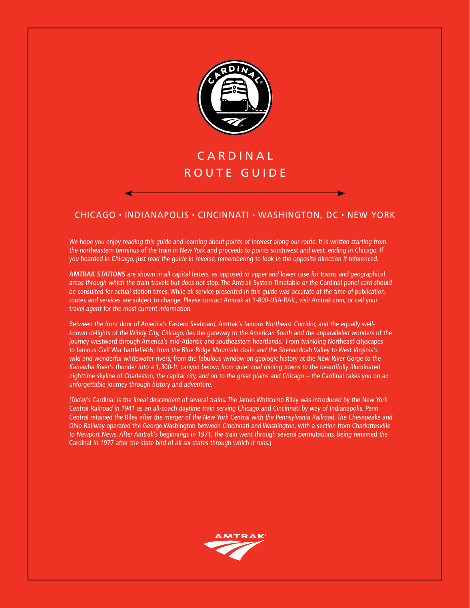

# **CARDINAL** ROUTE GUIDE

# chicago • indianapolis • cincinnati • washington, dc • new York

We hope you enjoy reading this guide and learning about points of interest along our route. It is written starting from the northeastern terminus of the train in New York and proceeds to points southwest and west, ending in Chicago. If you boarded in Chicago, just read the guide in reverse, remembering to look in the opposite direction if referenced.

**AMTRAK STATIONS** are shown in all capital letters, as opposed to upper and lower case for towns and geographical areas through which the train travels but does not stop. The Amtrak System Timetable or the Cardinal panel card should be consulted for actual station times. While all service presented in this guide was accurate at the time of publication, routes and services are subject to change. Please contact Amtrak at 1-800-USA-RAIL, visit Amtrak.com, or call your travel agent for the most current information.

Between the front door of America's Eastern Seaboard, Amtrak's famous Northeast Corridor, and the equally wellknown delights of the Windy City, Chicago, lies the gateway to the American South and the unparalleled wonders of the journey westward through America's mid-Atlantic and southeastern heartlands. From twinkling Northeast cityscapes to famous Civil War battlefields; from the Blue Ridge Mountain chain and the Shenandoah Valley to West Virginia's wild and wonderful whitewater rivers; from the fabulous window on geologic history at the New River Gorge to the Kanawha River's thunder into a 1,300-ft. canyon below; from quiet coal mining towns to the beautifully illuminated nighttime skyline of Charleston, the capital city, and on to the great plains and Chicago – the Cardinal takes you on an unforgettable journey through history and adventure.

[Today's Cardinal is the lineal descendent of several trains. The James Whitcomb Riley was introduced by the New York Central Railroad in 1941 as an all-coach daytime train serving Chicago and Cincinnati by way of Indianapolis. Penn Central retained the Riley after the merger of the New York Central with the Pennsylvania Railroad. The Chesapeake and Ohio Railway operated the George Washington between Cincinnati and Washington, with a section from Charlottesville to Newport News. After Amtrak's beginnings in 1971, the train went through several permutations, being renamed the Cardinal in 1977 after the state bird of all six states through which it runs.]

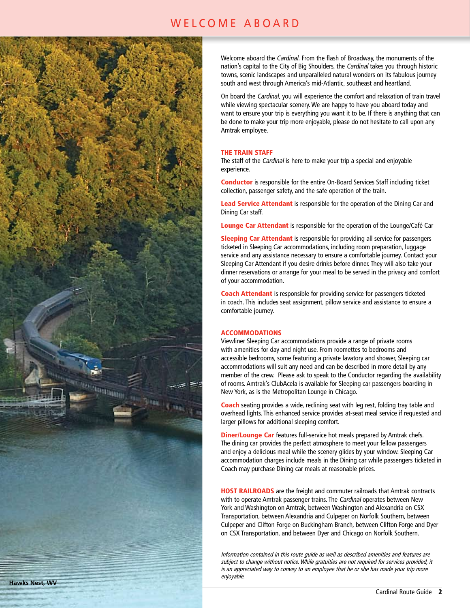# WELCOME ABOARD



Welcome aboard the Cardinal. From the flash of Broadway, the monuments of the nation's capital to the City of Big Shoulders, the Cardinal takes you through historic towns, scenic landscapes and unparalleled natural wonders on its fabulous journey south and west through America's mid-Atlantic, southeast and heartland.

On board the Cardinal, you will experience the comfort and relaxation of train travel while viewing spectacular scenery. We are happy to have you aboard today and want to ensure your trip is everything you want it to be. If there is anything that can be done to make your trip more enjoyable, please do not hesitate to call upon any Amtrak employee.

#### THE TRAIN STAFF

The staff of the Cardinal is here to make your trip a special and enjoyable experience.

Conductor is responsible for the entire On-Board Services Staff including ticket collection, passenger safety, and the safe operation of the train.

Lead Service Attendant is responsible for the operation of the Dining Car and Dining Car staff.

Lounge Car Attendant is responsible for the operation of the Lounge/Café Car

**Sleeping Car Attendant** is responsible for providing all service for passengers ticketed in Sleeping Car accommodations, including room preparation, luggage service and any assistance necessary to ensure a comfortable journey. Contact your Sleeping Car Attendant if you desire drinks before dinner. They will also take your dinner reservations or arrange for your meal to be served in the privacy and comfort of your accommodation.

Coach Attendant is responsible for providing service for passengers ticketed in coach. This includes seat assignment, pillow service and assistance to ensure a comfortable journey.

#### ACCOMMODATIONS

Viewliner Sleeping Car accommodations provide a range of private rooms with amenities for day and night use. From roomettes to bedrooms and accessible bedrooms, some featuring a private lavatory and shower, Sleeping car accommodations will suit any need and can be described in more detail by any member of the crew. Please ask to speak to the Conductor regarding the availability of rooms. Amtrak's ClubAcela is available for Sleeping car passengers boarding in New York, as is the Metropolitan Lounge in Chicago.

**Coach** seating provides a wide, reclining seat with leg rest, folding tray table and overhead lights. This enhanced service provides at-seat meal service if requested and larger pillows for additional sleeping comfort.

**Diner/Lounge Car** features full-service hot meals prepared by Amtrak chefs. The dining car provides the perfect atmosphere to meet your fellow passengers and enjoy a delicious meal while the scenery glides by your window. Sleeping Car accommodation charges include meals in the Dining car while passengers ticketed in Coach may purchase Dining car meals at reasonable prices.

HOST RAILROADS are the freight and commuter railroads that Amtrak contracts with to operate Amtrak passenger trains. The Cardinal operates between New York and Washington on Amtrak, between Washington and Alexandria on CSX Transportation, between Alexandria and Culpeper on Norfolk Southern, between Culpeper and Clifton Forge on Buckingham Branch, between Clifton Forge and Dyer on CSX Transportation, and between Dyer and Chicago on Norfolk Southern.

Information contained in this route guide as well as described amenities and features are subject to change without notice. While gratuities are not required for services provided, it is an appreciated way to convey to an employee that he or she has made your trip more enjoyable.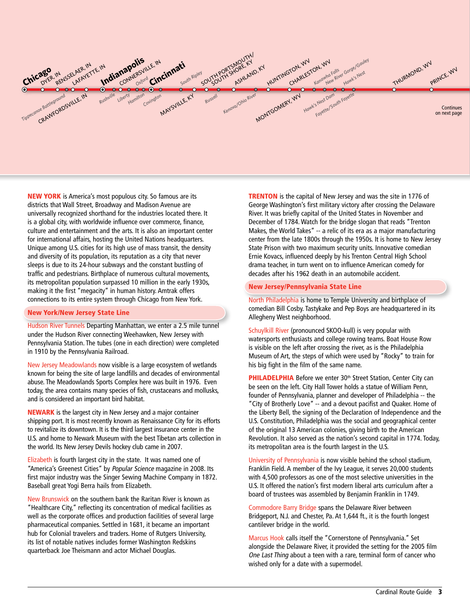

**NEW YORK** is America's most populous city. So famous are its districts that Wall Street, Broadway and Madison Avenue are universally recognized shorthand for the industries located there. It is a global city, with worldwide influence over commerce, finance, culture and entertainment and the arts. It is also an important center for international affairs, hosting the United Nations headquarters. Unique among U.S. cities for its high use of mass transit, the density and diversity of its population, its reputation as a city that never sleeps is due to its 24-hour subways and the constant bustling of traffic and pedestrians. Birthplace of numerous cultural movements, its metropolitan population surpassed 10 million in the early 1930s, making it the first "megacity" in human history. Amtrak offers connections to its entire system through Chicago from New York.

#### New York/New Jersey State Line

Hudson River Tunnels Departing Manhattan, we enter a 2.5 mile tunnel under the Hudson River connecting Weehawken, New Jersey with Pennsylvania Station. The tubes (one in each direction) were completed in 1910 by the Pennsylvania Railroad.

New Jersey Meadowlands now visible is a large ecosystem of wetlands known for being the site of large landfills and decades of environmental abuse. The Meadowlands Sports Complex here was built in 1976. Even today, the area contains many species of fish, crustaceans and mollusks, and is considered an important bird habitat.

NEWARK is the largest city in New Jersey and a major container shipping port. It is most recently known as Renaissance City for its efforts to revitalize its downtown. It is the third largest insurance center in the U.S. and home to Newark Museum with the best Tibetan arts collection in the world. Its New Jersey Devils hockey club came in 2007.

Elizabeth is fourth largest city in the state. It was named one of "America's Greenest Cities" by Popular Science magazine in 2008. Its first major industry was the Singer Sewing Machine Company in 1872. Baseball great Yogi Berra hails from Elizabeth.

New Brunswick on the southern bank the Raritan River is known as "Healthcare City," reflecting its concentration of medical facilities as well as the corporate offices and production facilities of several large pharmaceutical companies. Settled in 1681, it became an important hub for Colonial travelers and traders. Home of Rutgers University, its list of notable natives includes former Washington Redskins quarterback Joe Theismann and actor Michael Douglas.

**TRENTON** is the capital of New Jersey and was the site in 1776 of George Washington's first military victory after crossing the Delaware River. It was briefly capital of the United States in November and December of 1784. Watch for the bridge slogan that reads "Trenton Makes, the World Takes" -- a relic of its era as a major manufacturing center from the late 1800s through the 1950s. It is home to New Jersey State Prison with two maximum security units. Innovative comedian Ernie Kovacs, influenced deeply by his Trenton Central High School drama teacher, in turn went on to influence American comedy for decades after his 1962 death in an automobile accident.

#### New Jersey/Pennsylvania State Line

North Philadelphia is home to Temple University and birthplace of comedian Bill Cosby. Tastykake and Pep Boys are headquartered in its Allegheny West neighborhood.

Schuylkill River (pronounced SKOO-kull) is very popular with watersports enthusiasts and college rowing teams. Boat House Row is visible on the left after crossing the river, as is the Philadelphia Museum of Art, the steps of which were used by "Rocky" to train for his big fight in the film of the same name.

PHILADELPHIA Before we enter 30<sup>th</sup> Street Station, Center City can be seen on the left. City Hall Tower holds a statue of William Penn, founder of Pennsylvania, planner and developer of Philadelphia -- the "City of Brotherly Love" -- and a devout pacifist and Quaker. Home of the Liberty Bell, the signing of the Declaration of Independence and the U.S. Constitution, Philadelphia was the social and geographical center of the original 13 American colonies, giving birth to the American Revolution. It also served as the nation's second capital in 1774. Today, its metropolitan area is the fourth largest in the U.S.

University of Pennsylvania is now visible behind the school stadium, Franklin Field. A member of the Ivy League, it serves 20,000 students with 4,500 professors as one of the most selective universities in the U.S. It offered the nation's first modern liberal arts curriculum after a board of trustees was assembled by Benjamin Franklin in 1749.

Commodore Barry Bridge spans the Delaware River between Bridgeport, N.J. and Chester, Pa. At 1,644 ft., it is the fourth longest cantilever bridge in the world.

Marcus Hook calls itself the "Cornerstone of Pennsylvania." Set alongside the Delaware River, it provided the setting for the 2005 film One Last Thing about a teen with a rare, terminal form of cancer who wished only for a date with a supermodel.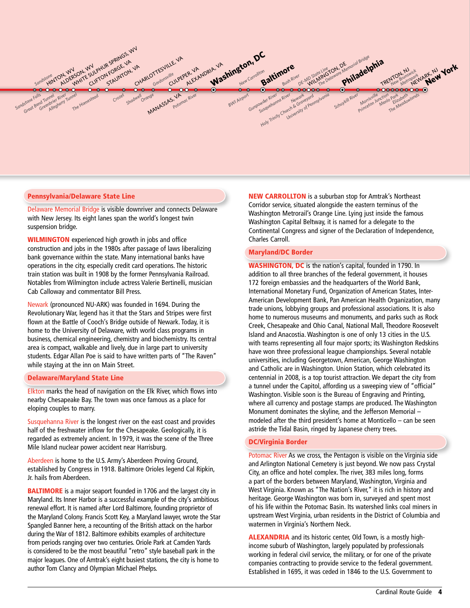

#### Pennsylvania/Delaware State Line

Delaware Memorial Bridge is visible downriver and connects Delaware with New Jersey. Its eight lanes span the world's longest twin suspension bridge.

WILMINGTON experienced high growth in jobs and office construction and jobs in the 1980s after passage of laws liberalizing bank governance within the state. Many international banks have operations in the city, especially credit card operations. The historic train station was built in 1908 by the former Pennsylvania Railroad. Notables from Wilmington include actress Valerie Bertinelli, musician Cab Calloway and commentator Bill Press.

Newark (pronounced NU-ARK) was founded in 1694. During the Revolutionary War, legend has it that the Stars and Stripes were first flown at the Battle of Cooch's Bridge outside of Newark. Today, it is home to the University of Delaware, with world class programs in business, chemical engineering, chemistry and biochemistry. Its central area is compact, walkable and lively, due in large part to university students. Edgar Allan Poe is said to have written parts of "The Raven" while staying at the inn on Main Street.

#### Delaware/Maryland State Line

Elkton marks the head of navigation on the Elk River, which flows into nearby Chesapeake Bay. The town was once famous as a place for eloping couples to marry.

Susquehanna River is the longest river on the east coast and provides half of the freshwater inflow for the Chesapeake. Geologically, it is regarded as extremely ancient. In 1979, it was the scene of the Three Mile Island nuclear power accident near Harrisburg.

Aberdeen is home to the U.S. Army's Aberdeen Proving Ground, established by Congress in 1918. Baltimore Orioles legend Cal Ripkin, Jr. hails from Aberdeen.

**BALTIMORE** is a major seaport founded in 1706 and the largest city in Maryland. Its Inner Harbor is a successful example of the city's ambitious renewal effort. It is named after Lord Baltimore, founding proprietor of the Maryland Colony. Francis Scott Key, a Maryland lawyer, wrote the Star Spangled Banner here, a recounting of the British attack on the harbor during the War of 1812. Baltimore exhibits examples of architecture from periods ranging over two centuries. Oriole Park at Camden Yards is considered to be the most beautiful "retro" style baseball park in the major leagues. One of Amtrak's eight busiest stations, the city is home to author Tom Clancy and Olympian Michael Phelps.

NEW CARROLLTON is a suburban stop for Amtrak's Northeast Corridor service, situated alongside the eastern terminus of the Washington Metrorail's Orange Line. Lying just inside the famous Washington Capital Beltway, it is named for a delegate to the Continental Congress and signer of the Declaration of Independence, Charles Carroll.

#### Maryland/DC Border

WASHINGTON, DC is the nation's capital, founded in 1790. In addition to all three branches of the federal government, it houses 172 foreign embassies and the headquarters of the World Bank, International Monetary Fund, Organization of American States, Inter-American Development Bank, Pan American Health Organization, many trade unions, lobbying groups and professional associations. It is also home to numerous museums and monuments, and parks such as Rock Creek, Chesapeake and Ohio Canal, National Mall, Theodore Roosevelt Island and Anacostia. Washington is one of only 13 cities in the U.S. with teams representing all four major sports; its Washington Redskins have won three professional league championships. Several notable universities, including Georgetown, American, George Washington and Catholic are in Washington. Union Station, which celebrated its centennial in 2008, is a top tourist attraction. We depart the city from a tunnel under the Capitol, affording us a sweeping view of "official" Washington. Visible soon is the Bureau of Engraving and Printing, where all currency and postage stamps are produced. The Washington Monument dominates the skyline, and the Jefferson Memorial – modeled after the third president's home at Monticello – can be seen astride the Tidal Basin, ringed by Japanese cherry trees.

#### DC/Virginia Border

Potomac River As we cross, the Pentagon is visible on the Virginia side and Arlington National Cemetery is just beyond. We now pass Crystal City, an office and hotel complex. The river, 383 miles long, forms a part of the borders between Maryland, Washington, Virginia and West Virginia. Known as "The Nation's River," it is rich in history and heritage. George Washington was born in, surveyed and spent most of his life within the Potomac Basin. Its watershed links coal miners in upstream West Virginia, urban residents in the District of Columbia and watermen in Virginia's Northern Neck.

**ALEXANDRIA** and its historic center, Old Town, is a mostly highincome suburb of Washington, largely populated by professionals working in federal civil service, the military, or for one of the private companies contracting to provide service to the federal government. Established in 1695, it was ceded in 1846 to the U.S. Government to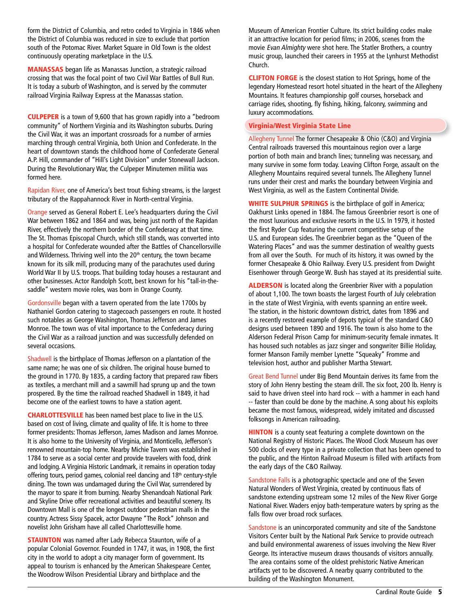form the District of Columbia, and retro ceded to Virginia in 1846 when the District of Columbia was reduced in size to exclude that portion south of the Potomac River. Market Square in Old Town is the oldest continuously operating marketplace in the U.S.

MANASSAS began life as Manassas Junction, a strategic railroad crossing that was the focal point of two Civil War Battles of Bull Run. It is today a suburb of Washington, and is served by the commuter railroad Virginia Railway Express at the Manassas station.

CULPEPER is a town of 9,600 that has grown rapidly into a "bedroom community" of Northern Virginia and its Washington suburbs. During the Civil War, it was an important crossroads for a number of armies marching through central Virginia, both Union and Confederate. In the heart of downtown stands the childhood home of Confederate General A.P. Hill, commander of "Hill's Light Division" under Stonewall Jackson. During the Revolutionary War, the Culpeper Minutemen militia was formed here.

Rapidan River, one of America's best trout fishing streams, is the largest tributary of the Rappahannock River in North-central Virginia.

Orange served as General Robert E. Lee's headquarters during the Civil War between 1862 and 1864 and was, being just north of the Rapidan River, effectively the northern border of the Confederacy at that time. The St. Thomas Episcopal Church, which still stands, was converted into a hospital for Confederate wounded after the Battles of Chancellorsville and Wilderness. Thriving well into the  $20<sup>th</sup>$  century, the town became known for its silk mill, producing many of the parachutes used during World War II by U.S. troops. That building today houses a restaurant and other businesses. Actor Randolph Scott, best known for his "tall-in-thesaddle" western movie roles, was born in Orange County.

Gordonsville began with a tavern operated from the late 1700s by Nathaniel Gordon catering to stagecoach passengers en route. It hosted such notables as George Washington, Thomas Jefferson and James Monroe. The town was of vital importance to the Confederacy during the Civil War as a railroad junction and was successfully defended on several occasions.

Shadwell is the birthplace of Thomas Jefferson on a plantation of the same name; he was one of six children. The original house burned to the ground in 1770. By 1835, a carding factory that prepared raw fibers as textiles, a merchant mill and a sawmill had sprung up and the town prospered. By the time the railroad reached Shadwell in 1849, it had become one of the earliest towns to have a station agent.

CHARLOTTESVILLE has been named best place to live in the U.S. based on cost of living, climate and quality of life. It is home to three former presidents: Thomas Jefferson, James Madison and James Monroe. It is also home to the University of Virginia, and Monticello, Jefferson's renowned mountain-top home. Nearby Michie Tavern was established in 1784 to serve as a social center and provide travelers with food, drink and lodging. A Virginia Historic Landmark, it remains in operation today offering tours, period games, colonial reel dancing and 18<sup>th</sup> century-style dining. The town was undamaged during the Civil War, surrendered by the mayor to spare it from burning. Nearby Shenandoah National Park and Skyline Drive offer recreational activities and beautiful scenery. Its Downtown Mall is one of the longest outdoor pedestrian malls in the country. Actress Sissy Spacek, actor Dwayne "The Rock" Johnson and novelist John Grisham have all called Charlottesville home.

**STAUNTON** was named after Lady Rebecca Staunton, wife of a popular Colonial Governor. Founded in 1747, it was, in 1908, the first city in the world to adopt a city manager form of government. Its appeal to tourism is enhanced by the American Shakespeare Center, the Woodrow Wilson Presidential Library and birthplace and the

Museum of American Frontier Culture. Its strict building codes make it an attractive location for period films; in 2006, scenes from the movie Evan Almighty were shot here. The Statler Brothers, a country music group, launched their careers in 1955 at the Lynhurst Methodist Church.

CLIFTON FORGE is the closest station to Hot Springs, home of the legendary Homestead resort hotel situated in the heart of the Allegheny Mountains. It features championship golf courses, horseback and carriage rides, shooting, fly fishing, hiking, falconry, swimming and luxury accommodations.

# Virginia/West Virginia State Line

Allegheny Tunnel The former Chesapeake & Ohio (C&O) and Virginia Central railroads traversed this mountainous region over a large portion of both main and branch lines; tunneling was necessary, and many survive in some form today. Leaving Clifton Forge, assault on the Allegheny Mountains required several tunnels. The Allegheny Tunnel runs under their crest and marks the boundary between Virginia and West Virginia, as well as the Eastern Continental Divide.

WHITE SULPHUR SPRINGS is the birthplace of golf in America; Oakhurst Links opened in 1884. The famous Greenbrier resort is one of the most luxurious and exclusive resorts in the U.S. In 1979, it hosted the first Ryder Cup featuring the current competitive setup of the U.S. and European sides. The Greenbrier began as the "Queen of the Watering Places" and was the summer destination of wealthy guests from all over the South. For much of its history, it was owned by the former Chesapeake & Ohio Railway. Every U.S. president from Dwight Eisenhower through George W. Bush has stayed at its presidential suite.

**ALDERSON** is located along the Greenbrier River with a population of about 1,100. The town boasts the largest Fourth of July celebration in the state of West Virginia, with events spanning an entire week. The station, in the historic downtown district, dates from 1896 and is a recently restored example of depots typical of the standard C&O designs used between 1890 and 1916. The town is also home to the Alderson Federal Prison Camp for minimum-security female inmates. It has housed such notables as jazz singer and songwriter Billie Holiday, former Manson Family member Lynette "Squeaky" Fromme and television host, author and publisher Martha Stewart.

Great Bend Tunnel under Big Bend Mountain derives its fame from the story of John Henry besting the steam drill. The six foot, 200 lb. Henry is said to have driven steel into hard rock -- with a hammer in each hand -- faster than could be done by the machine. A song about his exploits became the most famous, widespread, widely imitated and discussed folksongs in American railroading.

**HINTON** is a county seat featuring a complete downtown on the National Registry of Historic Places. The Wood Clock Museum has over 500 clocks of every type in a private collection that has been opened to the public, and the Hinton Railroad Museum is filled with artifacts from the early days of the C&O Railway.

Sandstone Falls is a photographic spectacle and one of the Seven Natural Wonders of West Virginia, created by continuous flats of sandstone extending upstream some 12 miles of the New River Gorge National River. Waders enjoy bath-temperature waters by spring as the falls flow over broad rock surfaces.

Sandstone is an unincorporated community and site of the Sandstone Visitors Center built by the National Park Service to provide outreach and build environmental awareness of issues involving the New River George. Its interactive museum draws thousands of visitors annually. The area contains some of the oldest prehistoric Native American artifacts yet to be discovered. A nearby quarry contributed to the building of the Washington Monument.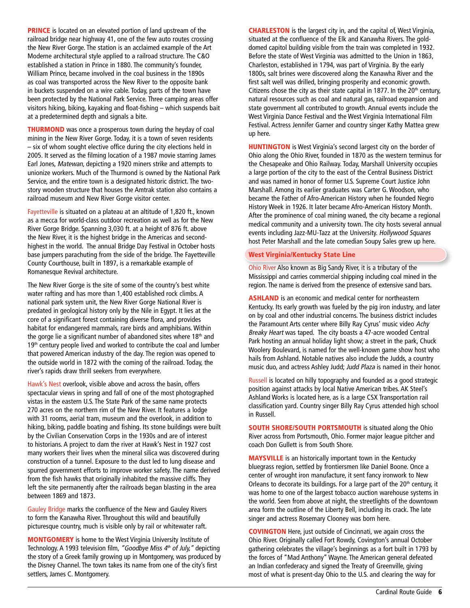**PRINCE** is located on an elevated portion of land upstream of the railroad bridge near highway 41, one of the few auto routes crossing the New River Gorge. The station is an acclaimed example of the Art Moderne architectural style applied to a railroad structure. The C&O established a station in Prince in 1880. The community's founder, William Prince, became involved in the coal business in the 1890s as coal was transported across the New River to the opposite bank in buckets suspended on a wire cable. Today, parts of the town have been protected by the National Park Service. Three camping areas offer visitors hiking, biking, kayaking and float-fishing – which suspends bait at a predetermined depth and signals a bite.

**THURMOND** was once a prosperous town during the heyday of coal mining in the New River Gorge. Today, it is a town of seven residents – six of whom sought elective office during the city elections held in 2005. It served as the filming location of a 1987 movie starring James Earl Jones, Matewan, depicting a 1920 miners strike and attempts to unionize workers. Much of the Thurmond is owned by the National Park Service, and the entire town is a designated historic district. The twostory wooden structure that houses the Amtrak station also contains a railroad museum and New River Gorge visitor center.

Fayetteville is situated on a plateau at an altitude of 1,820 ft., known as a mecca for world-class outdoor recreation as well as for the New River Gorge Bridge. Spanning 3,030 ft. at a height of 876 ft. above the New River, it is the highest bridge in the Americas and secondhighest in the world. The annual Bridge Day Festival in October hosts base jumpers parachuting from the side of the bridge. The Fayetteville County Courthouse, built in 1897, is a remarkable example of Romanesque Revival architecture.

The New River Gorge is the site of some of the country's best white water rafting and has more than 1,400 established rock climbs. A national park system unit, the New River Gorge National River is predated in geological history only by the Nile in Egypt. It lies at the core of a significant forest containing diverse flora, and provides habitat for endangered mammals, rare birds and amphibians. Within the gorge lie a significant number of abandoned sites where  $18<sup>th</sup>$  and 19<sup>th</sup> century people lived and worked to contribute the coal and lumber that powered American industry of the day. The region was opened to the outside world in 1872 with the coming of the railroad. Today, the river's rapids draw thrill seekers from everywhere.

Hawk's Nest overlook, visible above and across the basin, offers spectacular views in spring and fall of one of the most photographed vistas in the eastern U.S. The State Park of the same name protects 270 acres on the northern rim of the New River. It features a lodge with 31 rooms, aerial tram, museum and the overlook, in addition to hiking, biking, paddle boating and fishing. Its stone buildings were built by the Civilian Conservation Corps in the 1930s and are of interest to historians. A project to dam the river at Hawk's Nest in 1927 cost many workers their lives when the mineral silica was discovered during construction of a tunnel. Exposure to the dust led to lung disease and spurred government efforts to improve worker safety. The name derived from the fish hawks that originally inhabited the massive cliffs. They left the site permanently after the railroads began blasting in the area between 1869 and 1873.

Gauley Bridge marks the confluence of the New and Gauley Rivers to form the Kanawha River. Throughout this wild and beautifully picturesque country, much is visible only by rail or whitewater raft.

MONTGOMERY is home to the West Virginia University Institute of Technology. A 1993 television film, "Goodbye Miss 4<sup>th</sup> of July," depicting the story of a Greek family growing up in Montgomery, was produced by the Disney Channel. The town takes its name from one of the city's first settlers, James C. Montgomery.

CHARLESTON is the largest city in, and the capital of, West Virginia, situated at the confluence of the Elk and Kanawha Rivers. The golddomed capitol building visible from the train was completed in 1932. Before the state of West Virginia was admitted to the Union in 1863, Charleston, established in 1794, was part of Virginia. By the early 1800s, salt brines were discovered along the Kanawha River and the first salt well was drilled, bringing prosperity and economic growth. Citizens chose the city as their state capital in 1877. In the  $20<sup>th</sup>$  century, natural resources such as coal and natural gas, railroad expansion and state government all contributed to growth. Annual events include the West Virginia Dance Festival and the West Virginia International Film Festival. Actress Jennifer Garner and country singer Kathy Mattea grew up here.

**HUNTINGTON** is West Virginia's second largest city on the border of Ohio along the Ohio River, founded in 1870 as the western terminus for the Chesapeake and Ohio Railway. Today, Marshall University occupies a large portion of the city to the east of the Central Business District and was named in honor of former U.S. Supreme Court Justice John Marshall. Among its earlier graduates was Carter G. Woodson, who became the Father of Afro-American History when he founded Negro History Week in 1926. It later became Afro-American History Month. After the prominence of coal mining waned, the city became a regional medical community and a university town. The city hosts several annual events including Jazz-MU-Tazz at the University. Hollywood Squares host Peter Marshall and the late comedian Soupy Sales grew up here.

#### West Virginia/Kentucky State Line

Ohio River Also known as Big Sandy River, it is a tributary of the Mississippi and carries commercial shipping including coal mined in the region. The name is derived from the presence of extensive sand bars.

ASHLAND is an economic and medical center for northeastern Kentucky. Its early growth was fueled by the pig iron industry, and later on by coal and other industrial concerns. The business district includes the Paramount Arts center where Billy Ray Cyrus' music video Achy Breaky Heart was taped. The city boasts a 47-acre wooded Central Park hosting an annual holiday light show; a street in the park, Chuck Woolery Boulevard, is named for the well-known game show host who hails from Ashland. Notable natives also include the Judds, a country music duo, and actress Ashley Judd; Judd Plaza is named in their honor.

Russell is located on hilly topography and founded as a good strategic position against attacks by local Native American tribes. AK Steel's Ashland Works is located here, as is a large CSX Transportation rail classification yard. Country singer Billy Ray Cyrus attended high school in Russell.

SOUTH SHORE/SOUTH PORTSMOUTH is situated along the Ohio River across from Portsmouth, Ohio. Former major league pitcher and coach Don Gullett is from South Shore.

MAYSVILLE is an historically important town in the Kentucky bluegrass region, settled by frontiersmen like Daniel Boone. Once a center of wrought iron manufacture, it sent fancy ironwork to New Orleans to decorate its buildings. For a large part of the  $20<sup>th</sup>$  century, it was home to one of the largest tobacco auction warehouse systems in the world. Seen from above at night, the streetlights of the downtown area form the outline of the Liberty Bell, including its crack. The late singer and actress Rosemary Clooney was born here.

COVINGTON Here, just outside of Cincinnati, we again cross the Ohio River. Originally called Fort Rowdy, Covington's annual October gathering celebrates the village's beginnings as a fort built in 1793 by the forces of "Mad Anthony" Wayne. The American general defeated an Indian confederacy and signed the Treaty of Greenville, giving most of what is present-day Ohio to the U.S. and clearing the way for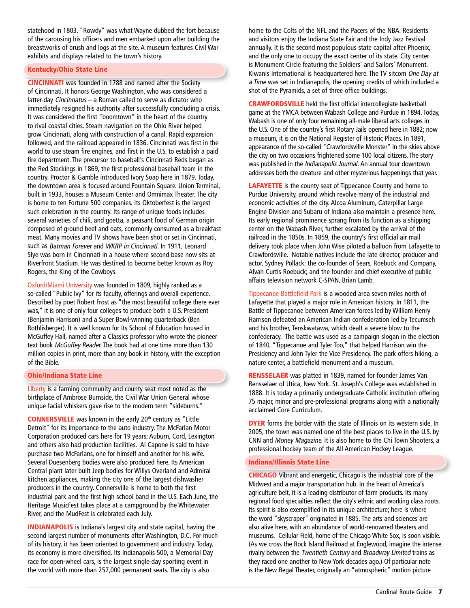statehood in 1803. "Rowdy" was what Wayne dubbed the fort because of the carousing his officers and men embarked upon after building the breastworks of brush and logs at the site. A museum features Civil War exhibits and displays related to the town's history.

# Kentucky/Ohio State Line

CINCINNATI was founded in 1788 and named after the Society of Cincinnati. It honors George Washington, who was considered a latter-day Cincinnatus – a Roman called to serve as dictator who immediately resigned his authority after successfully concluding a crisis. It was considered the first "boomtown" in the heart of the country to rival coastal cities. Steam navigation on the Ohio River helped grow Cincinnati, along with construction of a canal. Rapid expansion followed, and the railroad appeared in 1836. Cincinnati was first in the world to use steam fire engines, and first in the U.S. to establish a paid fire department. The precursor to baseball's Cincinnati Reds began as the Red Stockings in 1869, the first professional baseball team in the country. Proctor & Gamble introduced Ivory Soap here in 1879. Today, the downtown area is focused around Fountain Square. Union Terminal, built in 1933, houses a Museum Center and Omnimax Theater. The city is home to ten Fortune 500 companies. Its Oktoberfest is the largest such celebration in the country. Its range of unique foods includes several varieties of chili, and goetta, a peasant food of German origin composed of ground beef and oats, commonly consumed as a breakfast meat. Many movies and TV shows have been shot or set in Cincinnati, such as Batman Forever and WKRP in Cincinnati. In 1911, Leonard Slye was born in Cincinnati in a house where second base now sits at Riverfront Stadium. He was destined to become better known as Roy Rogers, the King of the Cowboys.

Oxford/Miami University was founded in 1809, highly ranked as a so-called "Public Ivy" for its faculty, offerings and overall experience. Described by poet Robert Frost as "the most beautiful college there ever was," it is one of only four colleges to produce both a U.S. President (Benjamin Harrison) and a Super Bowl-winning quarterback (Ben Rothlisberger). It is well known for its School of Education housed in McGuffey Hall, named after a Classics professor who wrote the pioneer text book McGuffey Reader. The book had at one time more than 130 million copies in print, more than any book in history, with the exception of the Bible.

# Ohio/Indiana State Line

Liberty is a farming community and county seat most noted as the birthplace of Ambrose Burnside, the Civil War Union General whose unique facial whiskers gave rise to the modern term "sideburns."

**CONNERSVILLE** was known in the early 20<sup>th</sup> century as "Little Detroit" for its importance to the auto industry. The McFarlan Motor Corporation produced cars here for 19 years; Auburn, Cord, Lexington and others also had production facilities. Al Capone is said to have purchase two McFarlans, one for himself and another for his wife. Several Duesenberg bodies were also produced here. Its American Central plant later built Jeep bodies for Willys Overland and Admiral kitchen appliances, making the city one of the largest dishwasher producers in the country. Connersville is home to both the first industrial park and the first high school band in the U.S. Each June, the Heritage MusicFest takes place at a campground by the Whitewater River, and the MudFest is celebrated each July.

INDIANAPOLIS is Indiana's largest city and state capital, having the second largest number of monuments after Washington, D.C. For much of its history, it has been oriented to government and industry. Today, its economy is more diversified. Its Indianapolis 500, a Memorial Day race for open-wheel cars, is the largest single-day sporting event in the world with more than 257,000 permanent seats. The city is also

home to the Colts of the NFL and the Pacers of the NBA. Residents and visitors enjoy the Indiana State Fair and the Indy Jazz Festival annually. It is the second most populous state capital after Phoenix, and the only one to occupy the exact center of its state. City center is Monument Circle featuring the Soldiers' and Sailors' Monument. Kiwanis International is headquartered here. The TV sitcom One Day at a Time was set in Indianapolis, the opening credits of which included a shot of the Pyramids, a set of three office buildings.

CRAWFORDSVILLE held the first official intercollegiate basketball game at the YMCA between Wabash College and Purdue in 1894. Today, Wabash is one of only four remaining all-male liberal arts colleges in the U.S. One of the country's first Rotary Jails opened here in 1882; now a museum, it is on the National Register of Historic Places. In 1891, appearance of the so-called "Crawfordsville Monster" in the skies above the city on two occasions frightened some 100 local citizens. The story was published in the Indianapolis Journal. An annual tour downtown addresses both the creature and other mysterious happenings that year.

**LAFAYETTE** is the county seat of Tippecanoe County and home to Purdue University, around which revolve many of the industrial and economic activities of the city. Alcoa Aluminum, Caterpillar Large Engine Division and Subaru of Indiana also maintain a presence here. Its early regional prominence sprang from its function as a shipping center on the Wabash River, further escalated by the arrival of the railroad in the 1850s. In 1859, the country's first official air mail delivery took place when John Wise piloted a balloon from Lafayette to Crawfordsville. Notable natives include the late director, producer and actor, Sydney Pollack; the co-founder of Sears, Roebuck and Company, Alvah Curtis Roebuck; and the founder and chief executive of public affairs television network C-SPAN, Brian Lamb.

Tippecanoe Battlefield Park is a wooded area seven miles north of Lafayette that played a major role in American history. In 1811, the Battle of Tippecanoe between American forces led by William Henry Harrison defeated an American Indian confederation led by Tecumseh and his brother, Tenskwatawa, which dealt a severe blow to the confederacy. The battle was used as a campaign slogan in the election of 1840, "Tippecanoe and Tyler Too," that helped Harrison win the Presidency and John Tyler the Vice Presidency. The park offers hiking, a nature center, a battlefield monument and a museum.

RENSSELAER was platted in 1839, named for founder James Van Rensselaer of Utica, New York. St. Joseph's College was established in 1888. It is today a primarily undergraduate Catholic institution offering 75 major, minor and pre-professional programs along with a nationally acclaimed Core Curriculum.

**DYER** forms the border with the state of Illinois on its western side. In 2005, the town was named one of the best places to live in the U.S. by CNN and Money Magazine. It is also home to the Chi Town Shooters, a professional hockey team of the All American Hockey League.

# Indiana/Illinois State Line

CHICAGO Vibrant and energetic, Chicago is the industrial core of the Midwest and a major transportation hub. In the heart of America's agriculture belt, it is a leading distributor of farm products. Its many regional food specialties reflect the city's ethnic and working class roots. Its spirit is also exemplified in its unique architecture; here is where the word "skyscraper" originated in 1885. The arts and sciences are also alive here, with an abundance of world-renowned theaters and museums. Cellular Field, home of the Chicago White Sox, is soon visible. (As we cross the Rock Island Railroad at Englewood, imagine the intense rivalry between the Twentieth Century and Broadway Limited trains as they raced one another to New York decades ago.) Of particular note is the New Regal Theater, originally an "atmospheric" motion picture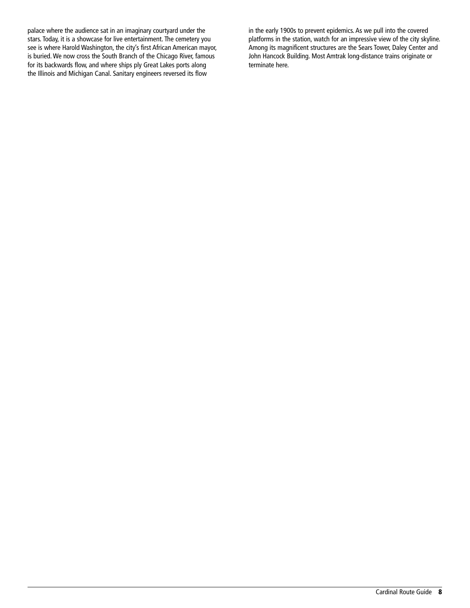palace where the audience sat in an imaginary courtyard under the stars. Today, it is a showcase for live entertainment. The cemetery you see is where Harold Washington, the city's first African American mayor, is buried. We now cross the South Branch of the Chicago River, famous for its backwards flow, and where ships ply Great Lakes ports along the Illinois and Michigan Canal. Sanitary engineers reversed its flow

in the early 1900s to prevent epidemics. As we pull into the covered platforms in the station, watch for an impressive view of the city skyline. Among its magnificent structures are the Sears Tower, Daley Center and John Hancock Building. Most Amtrak long-distance trains originate or terminate here.